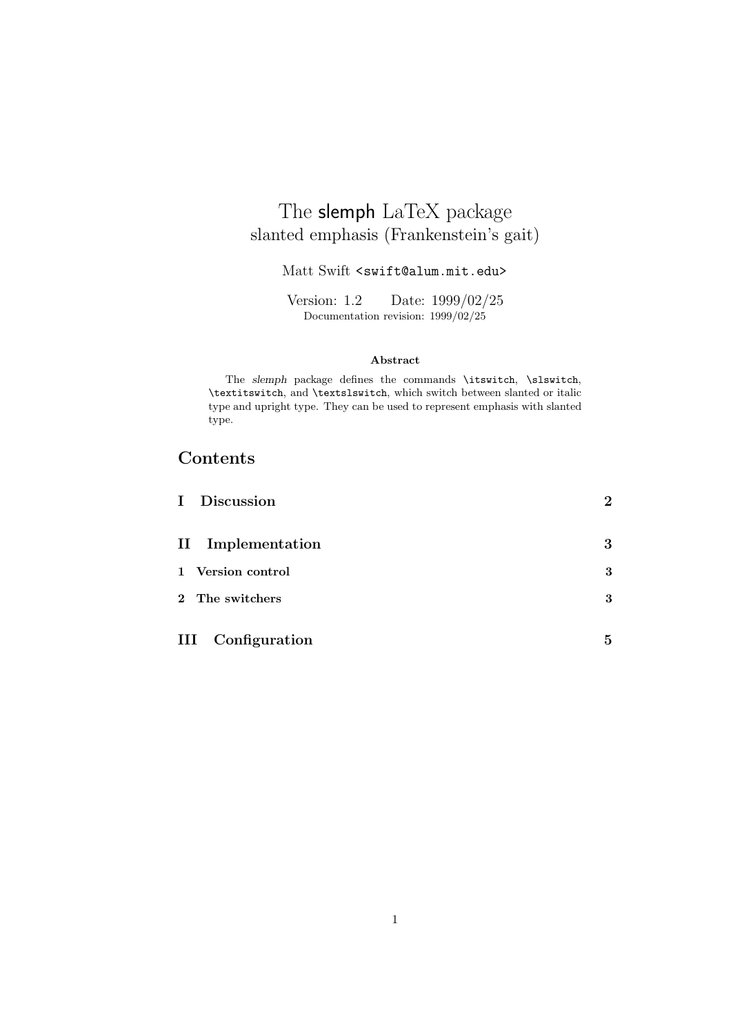## The slemph LaTeX package slanted emphasis (Frankenstein's gait)

Matt Swift <swift@alum.mit.edu>

Version: 1.2 Date: 1999/02/25 Documentation revision: 1999/02/25

#### **Abstract**

The *slemph* package defines the commands \itswitch, \slswitch, \textitswitch, and \textslswitch, which switch between slanted or italic type and upright type. They can be used to represent emphasis with slanted type.

## **Contents**

| I Discussion             | $\overline{2}$ |
|--------------------------|----------------|
| II Implementation        | 3              |
| 1 Version control        | 3              |
| 2 The switchers          | 3              |
| <b>III</b> Configuration | 5              |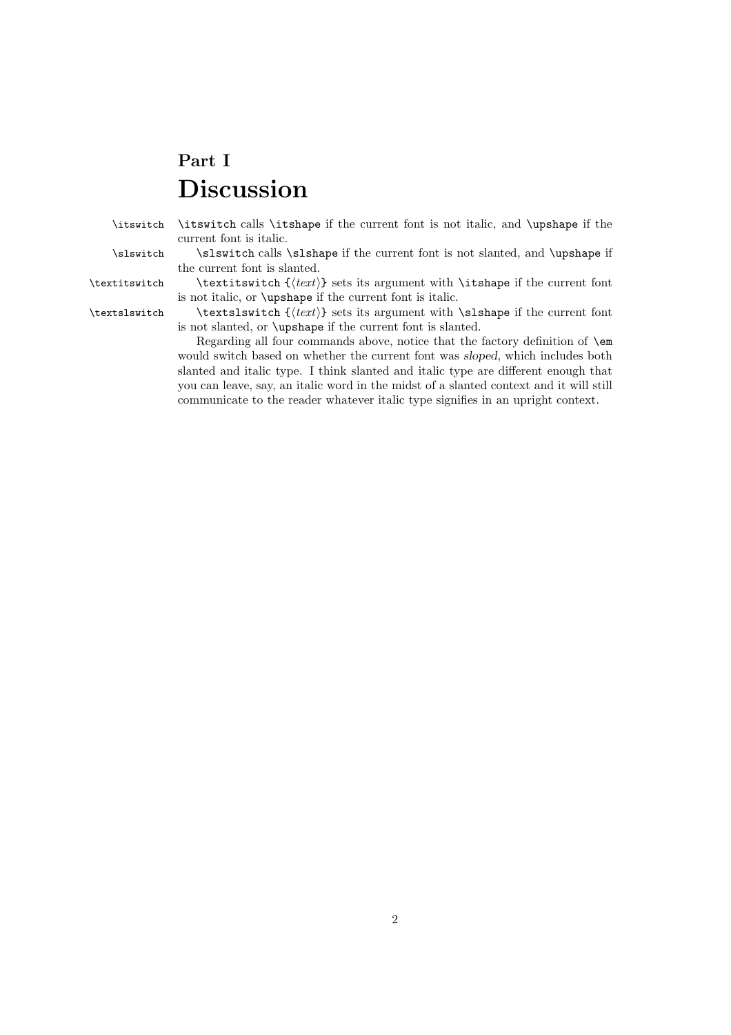# **Part I Discussion**

\itswitch \itswitch calls \itshape if the current font is not italic, and \upshape if the current font is italic.

\slswitch \slswitch calls \slshape if the current font is not slanted, and \upshape if the current font is slanted.

\textitswitch \textitswitch {(*text*)} sets its argument with \itshape if the current font is not italic, or \upshape if the current font is italic.

\textslswitch \textslswitch { $\text{text}$ } sets its argument with \slshape if the current font is not slanted, or \upshape if the current font is slanted.

> Regarding all four commands above, notice that the factory definition of \em would switch based on whether the current font was *sloped*, which includes both slanted and italic type. I think slanted and italic type are different enough that you can leave, say, an italic word in the midst of a slanted context and it will still communicate to the reader whatever italic type signifies in an upright context.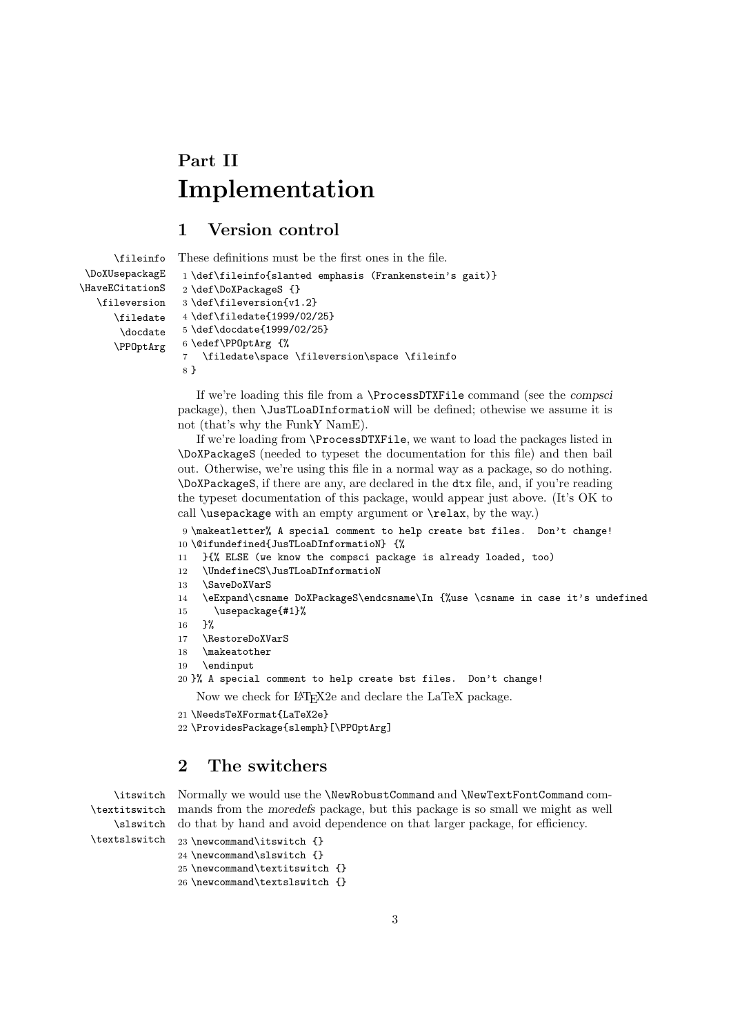# **Part II Implementation**

#### **1 Version control**

```
\fileinfo
 \DoXUsepackagE
\HaveECitationS
   \fileversion
      \filedate
       \docdate
      \PPOptArg
                 These definitions must be the first ones in the file.
                  1 \def\fileinfo{slanted emphasis (Frankenstein's gait)}
                  2 \def\DoXPackageS {}
                  3 \def\fileversion{v1.2}
                  4 \def\filedate{1999/02/25}
                  5 \def\docdate{1999/02/25}
                  6 \edef\PPOptArg {%
                  7 \filedate\space \fileversion\space \fileinfo
                  8 }
```
If we're loading this file from a \ProcessDTXFile command (see the *compsci* package), then \JusTLoaDInformatioN will be defined; othewise we assume it is not (that's why the FunkY NamE).

If we're loading from \ProcessDTXFile, we want to load the packages listed in \DoXPackageS (needed to typeset the documentation for this file) and then bail out. Otherwise, we're using this file in a normal way as a package, so do nothing. \DoXPackageS, if there are any, are declared in the dtx file, and, if you're reading the typeset documentation of this package, would appear just above. (It's OK to call \usepackage with an empty argument or \relax, by the way.)

9 \makeatletter% A special comment to help create bst files. Don't change! 10 \@ifundefined{JusTLoaDInformatioN} {%

- 11 }{% ELSE (we know the compsci package is already loaded, too)
- 12 \UndefineCS\JusTLoaDInformatioN
- 13 \SaveDoXVarS
- 14 \eExpand\csname DoXPackageS\endcsname\In {%use \csname in case it's undefined
- 15 \usepackage{#1}%
- 16 }%

\textslswitch

- 17 \RestoreDoXVarS
- 18 \makeatother
- 19 \endinput
- 20 }% A special comment to help create bst files. Don't change!

Now we check for LATEX2e and declare the LaTeX package.

```
21 \NeedsTeXFormat{LaTeX2e}
```
22 \ProvidesPackage{slemph}[\PPOptArg]

### **2 The switchers**

```
\itswitch
Normally we would use the \NewRobustCommand and \NewTextFontCommand com-
\textitswitch
   \slswitch
              mands from the moredefs package, but this package is so small we might as well
              do that by hand and avoid dependence on that larger package, for efficiency.
```

```
23 \newcommand\itswitch {}
24 \newcommand\slswitch {}
25 \newcommand\textitswitch {}
26 \newcommand\textslswitch {}
```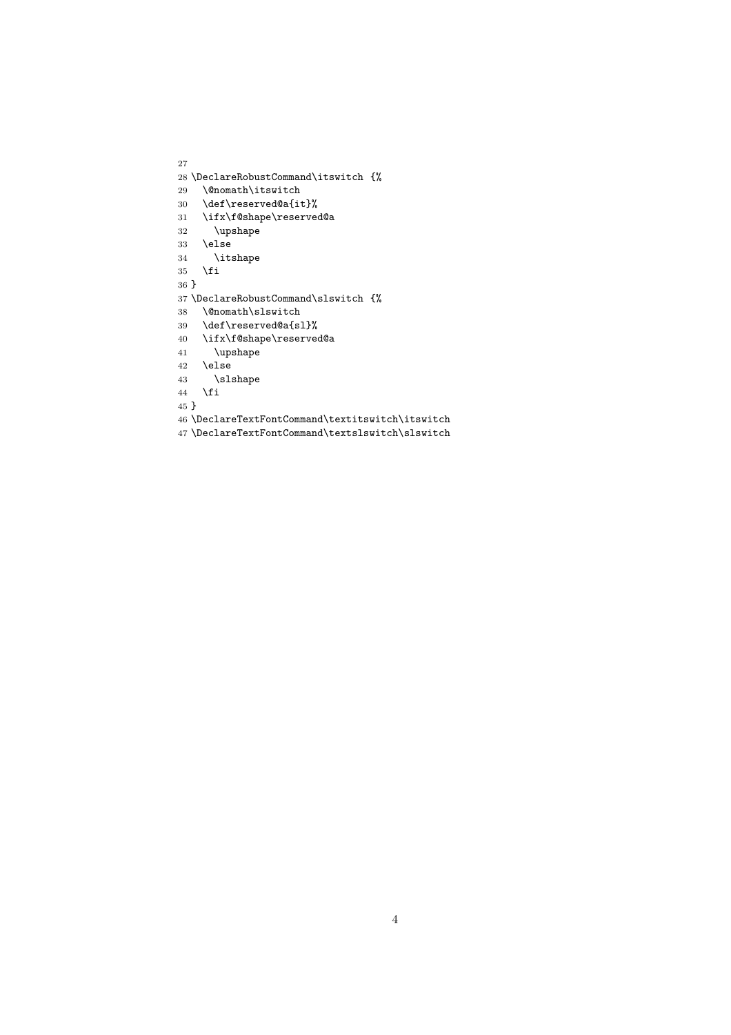```
28 \DeclareRobustCommand\itswitch {%
29 \@nomath\itswitch
30 \def\reserved@a{it}%
31 \ifx\f@shape\reserved@a
32 \upshape
33 \else
34 \itshape
35 \overline{1}36 }
37 \DeclareRobustCommand\slswitch {%
38 \@nomath\slswitch<br>39 \def\reserved@a{s]
    \def\reserved@a{sl}%
40 \ifx\f@shape\reserved@a
41 \upshape
42 \else
43 \slshape
44 \overrightarrow{fi}45 }
46 \DeclareTextFontCommand\textitswitch\itswitch
```
\DeclareTextFontCommand\textslswitch\slswitch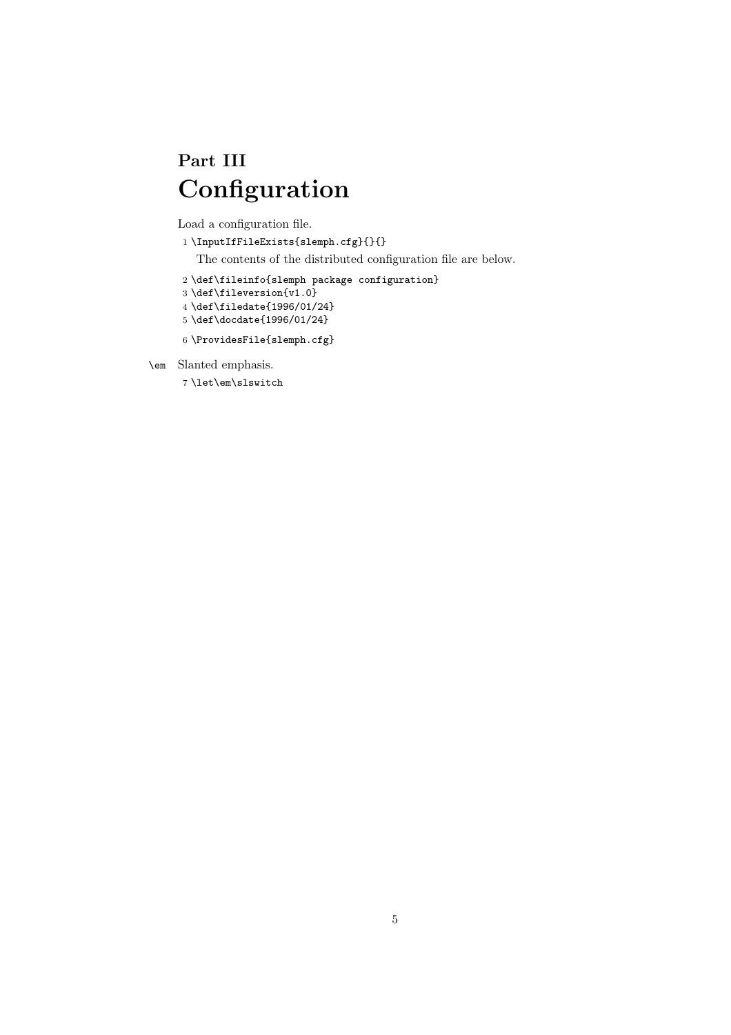# **Part III Configuration**

Load a configuration file.

```
1 \verb|\InputIfFileExists{s1emph.cfg}{\}
```
The contents of the distributed configuration file are below.

- 2 \def\fileinfo{slemph package configuration}
- 3 \def\fileversion{v1.0}
- 4 \def\filedate{1996/01/24}
- 5 \def\docdate{1996/01/24}
- 6 \ProvidesFile{slemph.cfg}
- \em Slanted emphasis.
	- 7 \let\em\slswitch